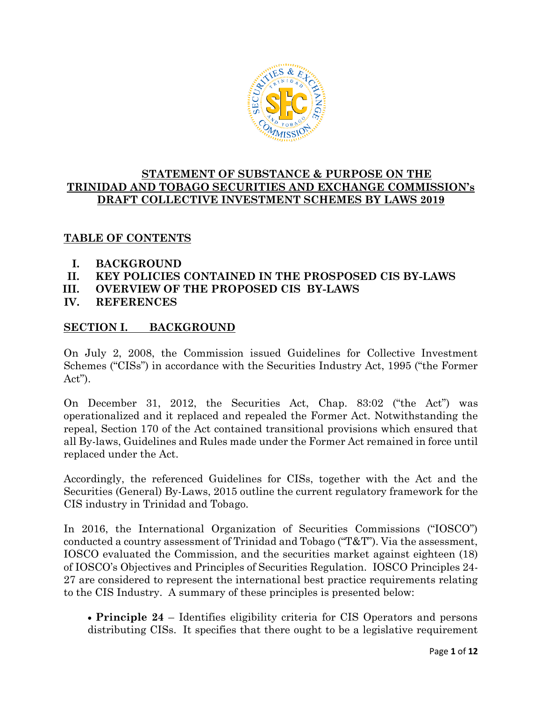

# **STATEMENT OF SUBSTANCE & PURPOSE ON THE TRINIDAD AND TOBAGO SECURITIES AND EXCHANGE COMMISSION's DRAFT COLLECTIVE INVESTMENT SCHEMES BY LAWS 2019**

# **TABLE OF CONTENTS**

- **I. BACKGROUND**
- **II. KEY POLICIES CONTAINED IN THE PROSPOSED CIS BY-LAWS**
- **III. OVERVIEW OF THE PROPOSED CIS BY-LAWS**
- **IV. REFERENCES**

# **SECTION I. BACKGROUND**

On July 2, 2008, the Commission issued Guidelines for Collective Investment Schemes ("CISs") in accordance with the Securities Industry Act, 1995 ("the Former Act").

On December 31, 2012, the Securities Act, Chap. 83:02 ("the Act") was operationalized and it replaced and repealed the Former Act. Notwithstanding the repeal, Section 170 of the Act contained transitional provisions which ensured that all By-laws, Guidelines and Rules made under the Former Act remained in force until replaced under the Act.

Accordingly, the referenced Guidelines for CISs, together with the Act and the Securities (General) By-Laws, 2015 outline the current regulatory framework for the CIS industry in Trinidad and Tobago.

In 2016, the International Organization of Securities Commissions ("IOSCO") conducted a country assessment of Trinidad and Tobago ("T&T"). Via the assessment, IOSCO evaluated the Commission, and the securities market against eighteen (18) of IOSCO's Objectives and Principles of Securities Regulation. IOSCO Principles 24- 27 are considered to represent the international best practice requirements relating to the CIS Industry. A summary of these principles is presented below:

 **Principle 24** – Identifies eligibility criteria for CIS Operators and persons distributing CISs. It specifies that there ought to be a legislative requirement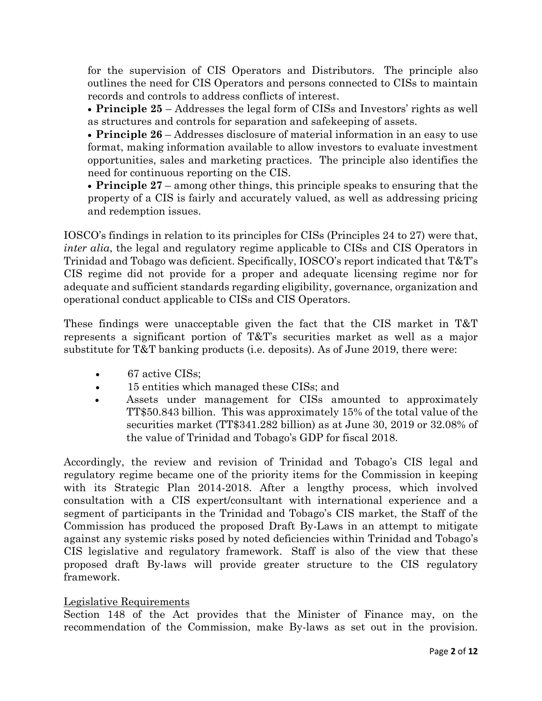for the supervision of CIS Operators and Distributors. The principle also outlines the need for CIS Operators and persons connected to CISs to maintain records and controls to address conflicts of interest.

 **Principle 25** – Addresses the legal form of CISs and Investors' rights as well as structures and controls for separation and safekeeping of assets.

 **Principle 26** – Addresses disclosure of material information in an easy to use format, making information available to allow investors to evaluate investment opportunities, sales and marketing practices. The principle also identifies the need for continuous reporting on the CIS.

 **Principle 27** – among other things, this principle speaks to ensuring that the property of a CIS is fairly and accurately valued, as well as addressing pricing and redemption issues.

IOSCO's findings in relation to its principles for CISs (Principles 24 to 27) were that, *inter alia*, the legal and regulatory regime applicable to CISs and CIS Operators in Trinidad and Tobago was deficient. Specifically, IOSCO's report indicated that T&T's CIS regime did not provide for a proper and adequate licensing regime nor for adequate and sufficient standards regarding eligibility, governance, organization and operational conduct applicable to CISs and CIS Operators.

These findings were unacceptable given the fact that the CIS market in T&T represents a significant portion of T&T's securities market as well as a major substitute for T&T banking products (i.e. deposits). As of June 2019, there were:

- 67 active CISs;
- 15 entities which managed these CISs; and
- Assets under management for CISs amounted to approximately TT\$50.843 billion. This was approximately 15% of the total value of the securities market (TT\$341.282 billion) as at June 30, 2019 or 32.08% of the value of Trinidad and Tobago's GDP for fiscal 2018.

Accordingly, the review and revision of Trinidad and Tobago's CIS legal and regulatory regime became one of the priority items for the Commission in keeping with its Strategic Plan 2014-2018. After a lengthy process, which involved consultation with a CIS expert/consultant with international experience and a segment of participants in the Trinidad and Tobago's CIS market, the Staff of the Commission has produced the proposed Draft By-Laws in an attempt to mitigate against any systemic risks posed by noted deficiencies within Trinidad and Tobago's CIS legislative and regulatory framework. Staff is also of the view that these proposed draft By-laws will provide greater structure to the CIS regulatory framework.

## Legislative Requirements

Section 148 of the Act provides that the Minister of Finance may, on the recommendation of the Commission, make By-laws as set out in the provision.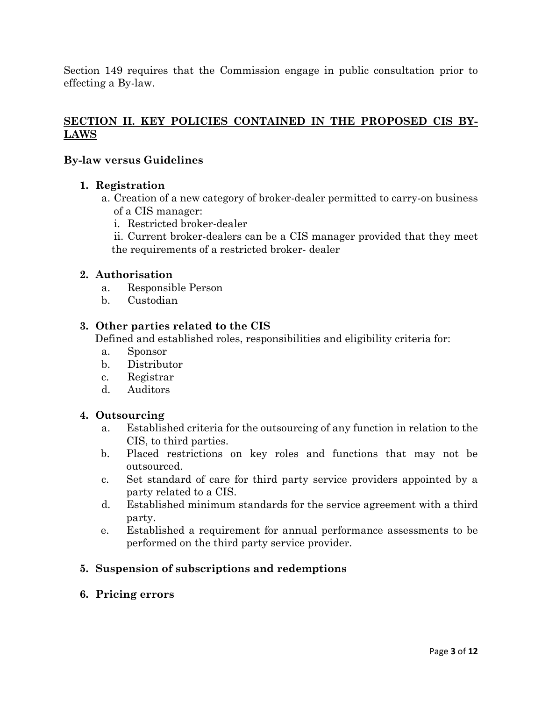Section 149 requires that the Commission engage in public consultation prior to effecting a By-law.

# **SECTION II. KEY POLICIES CONTAINED IN THE PROPOSED CIS BY-LAWS**

## **By-law versus Guidelines**

#### **1. Registration**

- a. Creation of a new category of broker-dealer permitted to carry-on business of a CIS manager:
	- i. Restricted broker-dealer

ii. Current broker-dealers can be a CIS manager provided that they meet the requirements of a restricted broker- dealer

#### **2. Authorisation**

- a. Responsible Person
- b. Custodian

#### **3. Other parties related to the CIS**

Defined and established roles, responsibilities and eligibility criteria for:

- a. Sponsor
- b. Distributor
- c. Registrar
- d. Auditors

#### **4. Outsourcing**

- a. Established criteria for the outsourcing of any function in relation to the CIS, to third parties.
- b. Placed restrictions on key roles and functions that may not be outsourced.
- c. Set standard of care for third party service providers appointed by a party related to a CIS.
- d. Established minimum standards for the service agreement with a third party.
- e. Established a requirement for annual performance assessments to be performed on the third party service provider.

## **5. Suspension of subscriptions and redemptions**

**6. Pricing errors**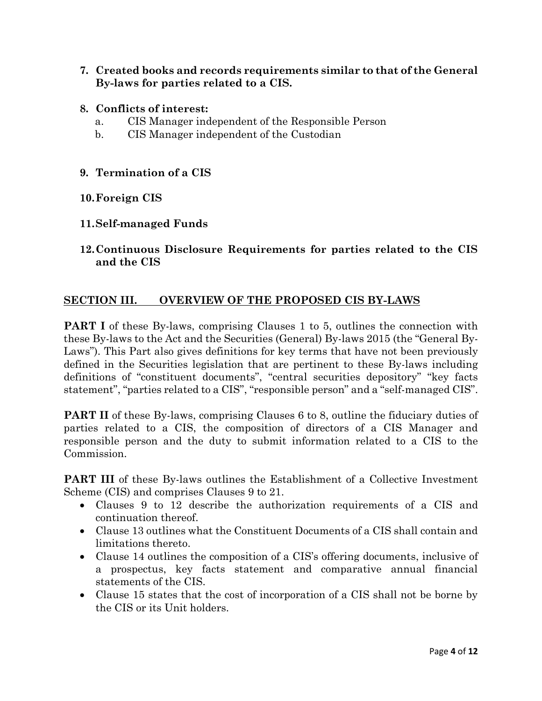- **7. Created books and records requirements similar to that of the General By-laws for parties related to a CIS.**
- **8. Conflicts of interest:**
	- a. CIS Manager independent of the Responsible Person
	- b. CIS Manager independent of the Custodian
- **9. Termination of a CIS**

## **10.Foreign CIS**

## **11.Self-managed Funds**

**12.Continuous Disclosure Requirements for parties related to the CIS and the CIS**

# **SECTION III. OVERVIEW OF THE PROPOSED CIS BY-LAWS**

**PART I** of these By-laws, comprising Clauses 1 to 5, outlines the connection with these By-laws to the Act and the Securities (General) By-laws 2015 (the "General By-Laws"). This Part also gives definitions for key terms that have not been previously defined in the Securities legislation that are pertinent to these By-laws including definitions of "constituent documents", "central securities depository" "key facts statement", "parties related to a CIS", "responsible person" and a "self-managed CIS".

**PART II** of these By-laws, comprising Clauses 6 to 8, outline the fiduciary duties of parties related to a CIS, the composition of directors of a CIS Manager and responsible person and the duty to submit information related to a CIS to the Commission.

**PART III** of these By-laws outlines the Establishment of a Collective Investment Scheme (CIS) and comprises Clauses 9 to 21.

- Clauses 9 to 12 describe the authorization requirements of a CIS and continuation thereof.
- Clause 13 outlines what the Constituent Documents of a CIS shall contain and limitations thereto.
- Clause 14 outlines the composition of a CIS's offering documents, inclusive of a prospectus, key facts statement and comparative annual financial statements of the CIS.
- Clause 15 states that the cost of incorporation of a CIS shall not be borne by the CIS or its Unit holders.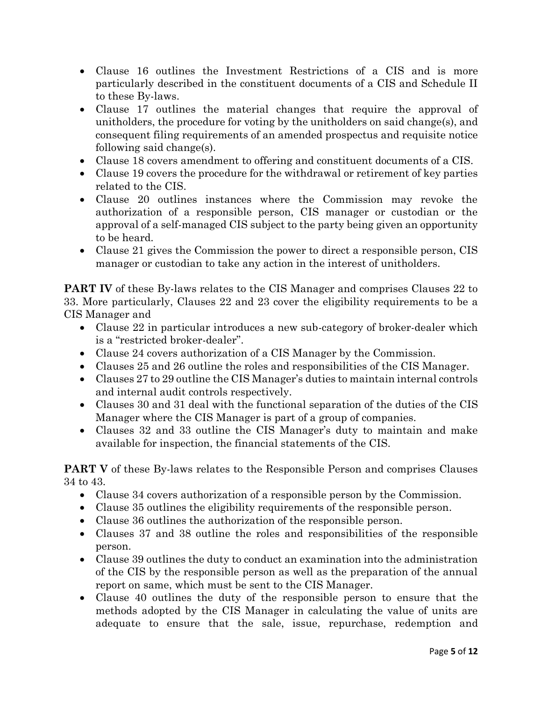- Clause 16 outlines the Investment Restrictions of a CIS and is more particularly described in the constituent documents of a CIS and Schedule II to these By-laws.
- Clause 17 outlines the material changes that require the approval of unitholders, the procedure for voting by the unitholders on said change(s), and consequent filing requirements of an amended prospectus and requisite notice following said change(s).
- Clause 18 covers amendment to offering and constituent documents of a CIS.
- Clause 19 covers the procedure for the withdrawal or retirement of key parties related to the CIS.
- Clause 20 outlines instances where the Commission may revoke the authorization of a responsible person, CIS manager or custodian or the approval of a self-managed CIS subject to the party being given an opportunity to be heard.
- Clause 21 gives the Commission the power to direct a responsible person, CIS manager or custodian to take any action in the interest of unitholders.

**PART IV** of these By-laws relates to the CIS Manager and comprises Clauses 22 to 33. More particularly, Clauses 22 and 23 cover the eligibility requirements to be a CIS Manager and

- Clause 22 in particular introduces a new sub-category of broker-dealer which is a "restricted broker-dealer".
- Clause 24 covers authorization of a CIS Manager by the Commission.
- Clauses 25 and 26 outline the roles and responsibilities of the CIS Manager.
- Clauses 27 to 29 outline the CIS Manager's duties to maintain internal controls and internal audit controls respectively.
- Clauses 30 and 31 deal with the functional separation of the duties of the CIS Manager where the CIS Manager is part of a group of companies.
- Clauses 32 and 33 outline the CIS Manager's duty to maintain and make available for inspection, the financial statements of the CIS.

**PART V** of these By-laws relates to the Responsible Person and comprises Clauses 34 to 43.

- Clause 34 covers authorization of a responsible person by the Commission.
- Clause 35 outlines the eligibility requirements of the responsible person.
- Clause 36 outlines the authorization of the responsible person.
- Clauses 37 and 38 outline the roles and responsibilities of the responsible person.
- Clause 39 outlines the duty to conduct an examination into the administration of the CIS by the responsible person as well as the preparation of the annual report on same, which must be sent to the CIS Manager.
- Clause 40 outlines the duty of the responsible person to ensure that the methods adopted by the CIS Manager in calculating the value of units are adequate to ensure that the sale, issue, repurchase, redemption and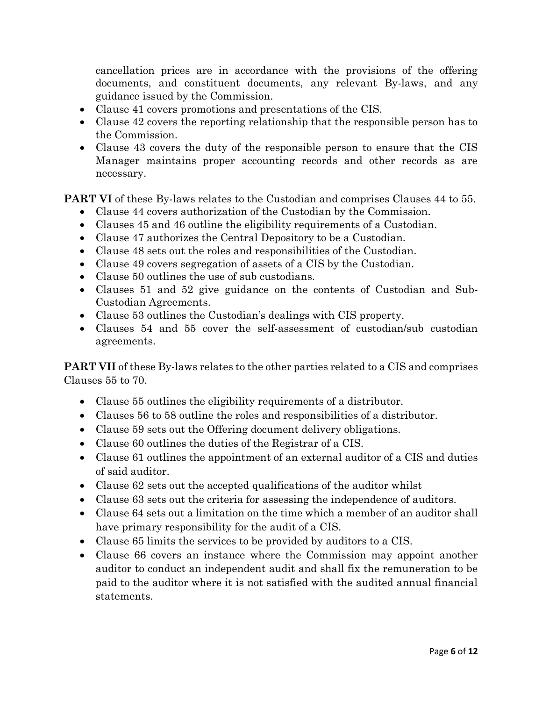cancellation prices are in accordance with the provisions of the offering documents, and constituent documents, any relevant By-laws, and any guidance issued by the Commission.

- Clause 41 covers promotions and presentations of the CIS.
- Clause 42 covers the reporting relationship that the responsible person has to the Commission.
- Clause 43 covers the duty of the responsible person to ensure that the CIS Manager maintains proper accounting records and other records as are necessary.

**PART VI** of these By-laws relates to the Custodian and comprises Clauses 44 to 55.

- Clause 44 covers authorization of the Custodian by the Commission.
- Clauses 45 and 46 outline the eligibility requirements of a Custodian.
- Clause 47 authorizes the Central Depository to be a Custodian.
- Clause 48 sets out the roles and responsibilities of the Custodian.
- Clause 49 covers segregation of assets of a CIS by the Custodian.
- Clause 50 outlines the use of sub custodians.
- Clauses 51 and 52 give guidance on the contents of Custodian and Sub-Custodian Agreements.
- Clause 53 outlines the Custodian's dealings with CIS property.
- Clauses 54 and 55 cover the self-assessment of custodian/sub custodian agreements.

**PART VII** of these By-laws relates to the other parties related to a CIS and comprises Clauses 55 to 70.

- Clause 55 outlines the eligibility requirements of a distributor.
- Clauses 56 to 58 outline the roles and responsibilities of a distributor.
- Clause 59 sets out the Offering document delivery obligations.
- Clause 60 outlines the duties of the Registrar of a CIS.
- Clause 61 outlines the appointment of an external auditor of a CIS and duties of said auditor.
- Clause 62 sets out the accepted qualifications of the auditor whilst
- Clause 63 sets out the criteria for assessing the independence of auditors.
- Clause 64 sets out a limitation on the time which a member of an auditor shall have primary responsibility for the audit of a CIS.
- Clause 65 limits the services to be provided by auditors to a CIS.
- Clause 66 covers an instance where the Commission may appoint another auditor to conduct an independent audit and shall fix the remuneration to be paid to the auditor where it is not satisfied with the audited annual financial statements.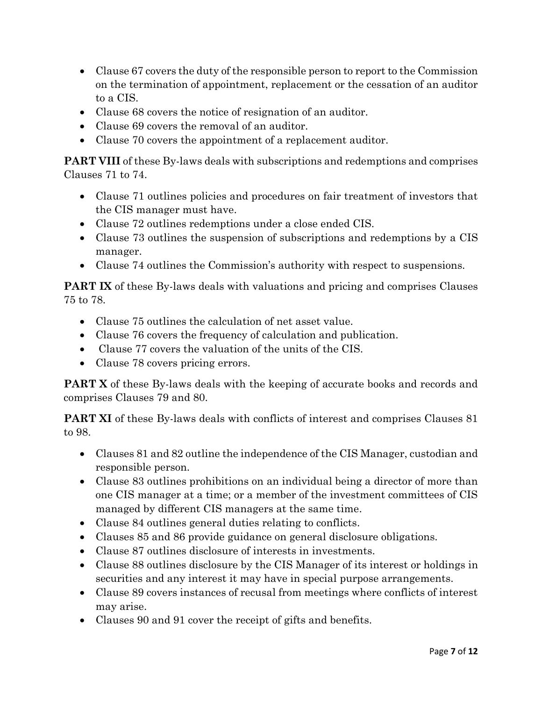- Clause 67 covers the duty of the responsible person to report to the Commission on the termination of appointment, replacement or the cessation of an auditor to a CIS.
- Clause 68 covers the notice of resignation of an auditor.
- Clause 69 covers the removal of an auditor.
- Clause 70 covers the appointment of a replacement auditor.

**PART VIII** of these By-laws deals with subscriptions and redemptions and comprises Clauses 71 to 74.

- Clause 71 outlines policies and procedures on fair treatment of investors that the CIS manager must have.
- Clause 72 outlines redemptions under a close ended CIS.
- Clause 73 outlines the suspension of subscriptions and redemptions by a CIS manager.
- Clause 74 outlines the Commission's authority with respect to suspensions.

**PART IX** of these By-laws deals with valuations and pricing and comprises Clauses 75 to 78.

- Clause 75 outlines the calculation of net asset value.
- Clause 76 covers the frequency of calculation and publication.
- Clause 77 covers the valuation of the units of the CIS.
- Clause 78 covers pricing errors.

**PART X** of these By-laws deals with the keeping of accurate books and records and comprises Clauses 79 and 80.

**PART XI** of these By-laws deals with conflicts of interest and comprises Clauses 81 to 98.

- Clauses 81 and 82 outline the independence of the CIS Manager, custodian and responsible person.
- Clause 83 outlines prohibitions on an individual being a director of more than one CIS manager at a time; or a member of the investment committees of CIS managed by different CIS managers at the same time.
- Clause 84 outlines general duties relating to conflicts.
- Clauses 85 and 86 provide guidance on general disclosure obligations.
- Clause 87 outlines disclosure of interests in investments.
- Clause 88 outlines disclosure by the CIS Manager of its interest or holdings in securities and any interest it may have in special purpose arrangements.
- Clause 89 covers instances of recusal from meetings where conflicts of interest may arise.
- Clauses 90 and 91 cover the receipt of gifts and benefits.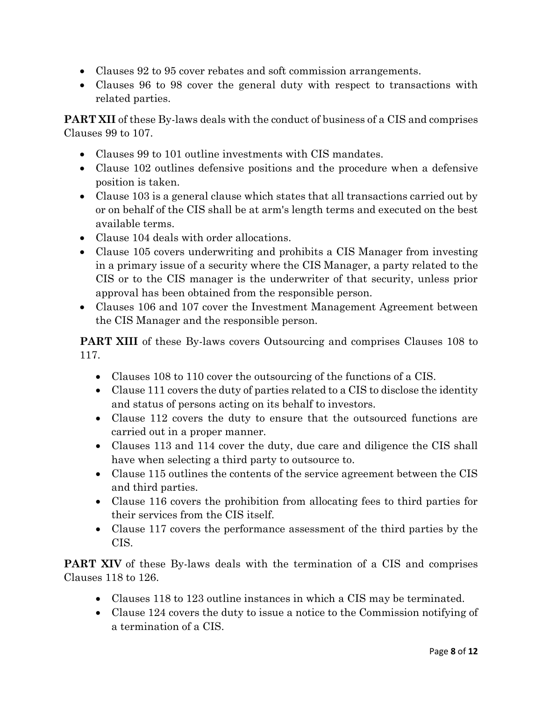- Clauses 92 to 95 cover rebates and soft commission arrangements.
- Clauses 96 to 98 cover the general duty with respect to transactions with related parties.

**PART XII** of these By-laws deals with the conduct of business of a CIS and comprises Clauses 99 to 107.

- Clauses 99 to 101 outline investments with CIS mandates.
- Clause 102 outlines defensive positions and the procedure when a defensive position is taken.
- Clause 103 is a general clause which states that all transactions carried out by or on behalf of the CIS shall be at arm's length terms and executed on the best available terms.
- Clause 104 deals with order allocations.
- Clause 105 covers underwriting and prohibits a CIS Manager from investing in a primary issue of a security where the CIS Manager, a party related to the CIS or to the CIS manager is the underwriter of that security, unless prior approval has been obtained from the responsible person.
- Clauses 106 and 107 cover the Investment Management Agreement between the CIS Manager and the responsible person.

**PART XIII** of these By-laws covers Outsourcing and comprises Clauses 108 to 117.

- Clauses 108 to 110 cover the outsourcing of the functions of a CIS.
- Clause 111 covers the duty of parties related to a CIS to disclose the identity and status of persons acting on its behalf to investors.
- Clause 112 covers the duty to ensure that the outsourced functions are carried out in a proper manner.
- Clauses 113 and 114 cover the duty, due care and diligence the CIS shall have when selecting a third party to outsource to.
- Clause 115 outlines the contents of the service agreement between the CIS and third parties.
- Clause 116 covers the prohibition from allocating fees to third parties for their services from the CIS itself.
- Clause 117 covers the performance assessment of the third parties by the CIS.

**PART XIV** of these By-laws deals with the termination of a CIS and comprises Clauses 118 to 126.

- Clauses 118 to 123 outline instances in which a CIS may be terminated.
- Clause 124 covers the duty to issue a notice to the Commission notifying of a termination of a CIS.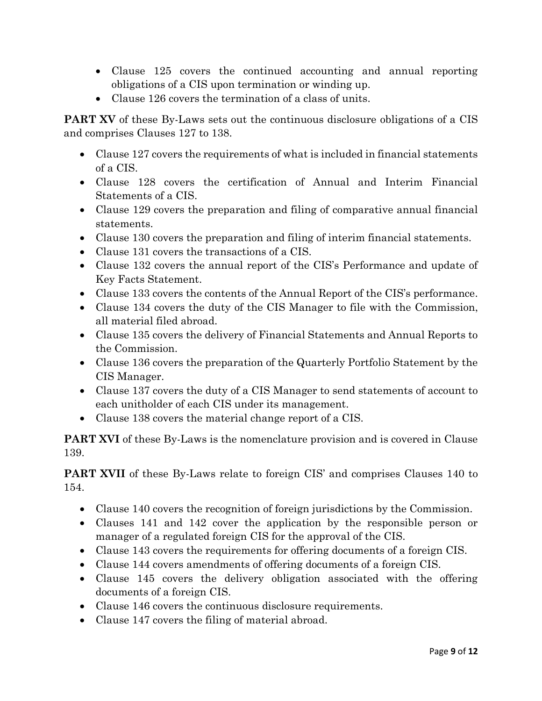- Clause 125 covers the continued accounting and annual reporting obligations of a CIS upon termination or winding up.
- Clause 126 covers the termination of a class of units.

**PART XV** of these By-Laws sets out the continuous disclosure obligations of a CIS and comprises Clauses 127 to 138.

- Clause 127 covers the requirements of what is included in financial statements of a CIS.
- Clause 128 covers the certification of Annual and Interim Financial Statements of a CIS.
- Clause 129 covers the preparation and filing of comparative annual financial statements.
- Clause 130 covers the preparation and filing of interim financial statements.
- Clause 131 covers the transactions of a CIS.
- Clause 132 covers the annual report of the CIS's Performance and update of Key Facts Statement.
- Clause 133 covers the contents of the Annual Report of the CIS's performance.
- Clause 134 covers the duty of the CIS Manager to file with the Commission, all material filed abroad.
- Clause 135 covers the delivery of Financial Statements and Annual Reports to the Commission.
- Clause 136 covers the preparation of the Quarterly Portfolio Statement by the CIS Manager.
- Clause 137 covers the duty of a CIS Manager to send statements of account to each unitholder of each CIS under its management.
- Clause 138 covers the material change report of a CIS.

**PART XVI** of these By-Laws is the nomenclature provision and is covered in Clause 139.

**PART XVII** of these By-Laws relate to foreign CIS' and comprises Clauses 140 to 154.

- Clause 140 covers the recognition of foreign jurisdictions by the Commission.
- Clauses 141 and 142 cover the application by the responsible person or manager of a regulated foreign CIS for the approval of the CIS.
- Clause 143 covers the requirements for offering documents of a foreign CIS.
- Clause 144 covers amendments of offering documents of a foreign CIS.
- Clause 145 covers the delivery obligation associated with the offering documents of a foreign CIS.
- Clause 146 covers the continuous disclosure requirements.
- Clause 147 covers the filing of material abroad.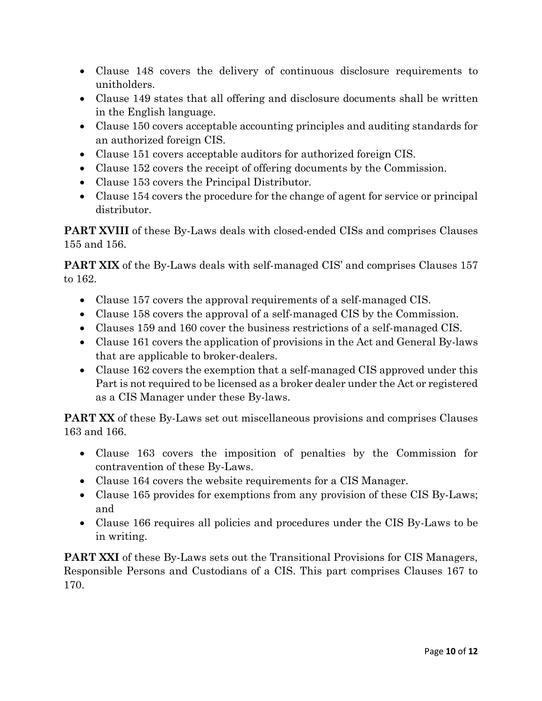- Clause 148 covers the delivery of continuous disclosure requirements to unitholders.
- Clause 149 states that all offering and disclosure documents shall be written in the English language.
- Clause 150 covers acceptable accounting principles and auditing standards for an authorized foreign CIS.
- Clause 151 covers acceptable auditors for authorized foreign CIS.
- Clause 152 covers the receipt of offering documents by the Commission.
- Clause 153 covers the Principal Distributor.
- Clause 154 covers the procedure for the change of agent for service or principal distributor.

**PART XVIII** of these By-Laws deals with closed-ended CISs and comprises Clauses 155 and 156.

**PART XIX** of the By-Laws deals with self-managed CIS' and comprises Clauses 157 to 162.

- Clause 157 covers the approval requirements of a self-managed CIS.
- Clause 158 covers the approval of a self-managed CIS by the Commission.
- Clauses 159 and 160 cover the business restrictions of a self-managed CIS.
- Clause 161 covers the application of provisions in the Act and General By-laws that are applicable to broker-dealers.
- Clause 162 covers the exemption that a self-managed CIS approved under this Part is not required to be licensed as a broker dealer under the Act or registered as a CIS Manager under these By-laws.

**PART XX** of these By-Laws set out miscellaneous provisions and comprises Clauses 163 and 166.

- Clause 163 covers the imposition of penalties by the Commission for contravention of these By-Laws.
- Clause 164 covers the website requirements for a CIS Manager.
- Clause 165 provides for exemptions from any provision of these CIS By-Laws; and
- Clause 166 requires all policies and procedures under the CIS By-Laws to be in writing.

**PART XXI** of these By-Laws sets out the Transitional Provisions for CIS Managers, Responsible Persons and Custodians of a CIS. This part comprises Clauses 167 to 170.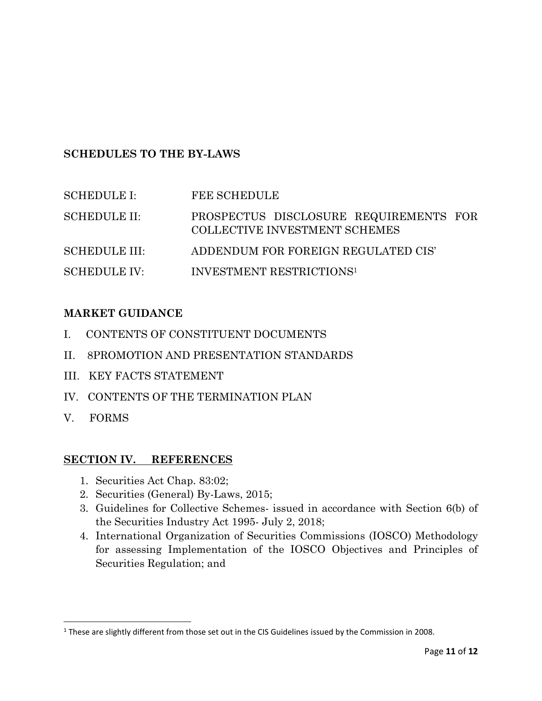# **SCHEDULES TO THE BY-LAWS**

| <b>SCHEDULE I:</b>   | FEE SCHEDULE                                                            |
|----------------------|-------------------------------------------------------------------------|
| <b>SCHEDULE II:</b>  | PROSPECTUS DISCLOSURE REQUIREMENTS FOR<br>COLLECTIVE INVESTMENT SCHEMES |
| <b>SCHEDULE III:</b> | ADDENDUM FOR FOREIGN REGULATED CIS'                                     |
| <b>SCHEDULE IV:</b>  | <b>INVESTMENT RESTRICTIONS1</b>                                         |

# **MARKET GUIDANCE**

- I. CONTENTS OF CONSTITUENT DOCUMENTS
- II. 8PROMOTION AND PRESENTATION STANDARDS
- III. KEY FACTS STATEMENT
- IV. CONTENTS OF THE TERMINATION PLAN
- V. FORMS

 $\overline{\phantom{a}}$ 

## **SECTION IV. REFERENCES**

- 1. Securities Act Chap. 83:02;
- 2. Securities (General) By-Laws, 2015;
- 3. Guidelines for Collective Schemes- issued in accordance with Section 6(b) of the Securities Industry Act 1995- July 2, 2018;
- 4. International Organization of Securities Commissions (IOSCO) Methodology for assessing Implementation of the IOSCO Objectives and Principles of Securities Regulation; and

<sup>&</sup>lt;sup>1</sup> These are slightly different from those set out in the CIS Guidelines issued by the Commission in 2008.